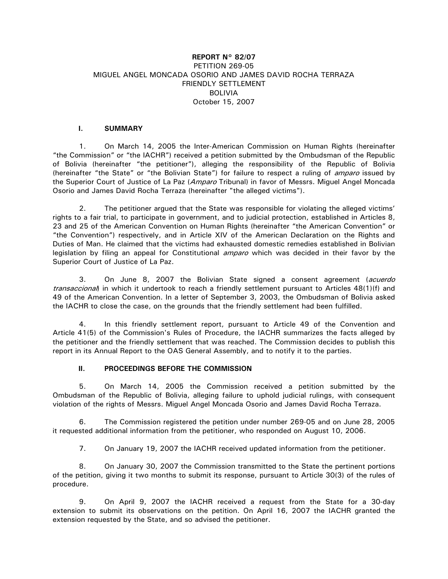# **REPORT N° 82/07**  PETITION 269-05 MIGUEL ANGEL MONCADA OSORIO AND JAMES DAVID ROCHA TERRAZA FRIENDLY SETTLEMENT BOLIVIA October 15, 2007

## **I. SUMMARY**

1. On March 14, 2005 the Inter-American Commission on Human Rights (hereinafter "the Commission" or "the IACHR") received a petition submitted by the Ombudsman of the Republic of Bolivia (hereinafter "the petitioner"), alleging the responsibility of the Republic of Bolivia (hereinafter "the State" or "the Bolivian State") for failure to respect a ruling of *amparo* issued by the Superior Court of Justice of La Paz (Amparo Tribunal) in favor of Messrs. Miguel Angel Moncada Osorio and James David Rocha Terraza (hereinafter "the alleged victims").

2. The petitioner argued that the State was responsible for violating the alleged victims' rights to a fair trial, to participate in government, and to judicial protection, established in Articles 8, 23 and 25 of the American Convention on Human Rights (hereinafter "the American Convention" or "the Convention") respectively, and in Article XIV of the American Declaration on the Rights and Duties of Man. He claimed that the victims had exhausted domestic remedies established in Bolivian legislation by filing an appeal for Constitutional *amparo* which was decided in their favor by the Superior Court of Justice of La Paz.

3. On June 8, 2007 the Bolivian State signed a consent agreement (acuerdo transaccional) in which it undertook to reach a friendly settlement pursuant to Articles 48(1)(f) and 49 of the American Convention. In a letter of September 3, 2003, the Ombudsman of Bolivia asked the IACHR to close the case, on the grounds that the friendly settlement had been fulfilled.

4. In this friendly settlement report, pursuant to Article 49 of the Convention and Article 41(5) of the Commission's Rules of Procedure, the IACHR summarizes the facts alleged by the petitioner and the friendly settlement that was reached. The Commission decides to publish this report in its Annual Report to the OAS General Assembly, and to notify it to the parties.

## **II. PROCEEDINGS BEFORE THE COMMISSION**

5. On March 14, 2005 the Commission received a petition submitted by the Ombudsman of the Republic of Bolivia, alleging failure to uphold judicial rulings, with consequent violation of the rights of Messrs. Miguel Angel Moncada Osorio and James David Rocha Terraza.

6. The Commission registered the petition under number 269-05 and on June 28, 2005 it requested additional information from the petitioner, who responded on August 10, 2006.

7. On January 19, 2007 the IACHR received updated information from the petitioner.

8. On January 30, 2007 the Commission transmitted to the State the pertinent portions of the petition, giving it two months to submit its response, pursuant to Article 30(3) of the rules of procedure.

9. On April 9, 2007 the IACHR received a request from the State for a 30-day extension to submit its observations on the petition. On April 16, 2007 the IACHR granted the extension requested by the State, and so advised the petitioner.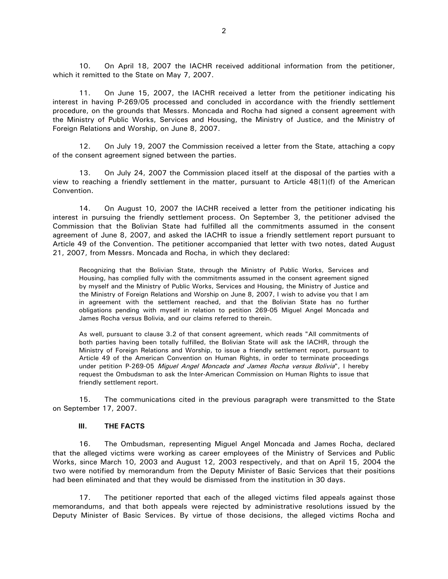10. On April 18, 2007 the IACHR received additional information from the petitioner, which it remitted to the State on May 7, 2007.

11. On June 15, 2007, the IACHR received a letter from the petitioner indicating his interest in having P-269/05 processed and concluded in accordance with the friendly settlement procedure, on the grounds that Messrs. Moncada and Rocha had signed a consent agreement with the Ministry of Public Works, Services and Housing, the Ministry of Justice, and the Ministry of Foreign Relations and Worship, on June 8, 2007.

12. On July 19, 2007 the Commission received a letter from the State, attaching a copy of the consent agreement signed between the parties.

13. On July 24, 2007 the Commission placed itself at the disposal of the parties with a view to reaching a friendly settlement in the matter, pursuant to Article 48(1)(f) of the American Convention.

14. On August 10, 2007 the IACHR received a letter from the petitioner indicating his interest in pursuing the friendly settlement process. On September 3, the petitioner advised the Commission that the Bolivian State had fulfilled all the commitments assumed in the consent agreement of June 8, 2007, and asked the IACHR to issue a friendly settlement report pursuant to Article 49 of the Convention. The petitioner accompanied that letter with two notes, dated August 21, 2007, from Messrs. Moncada and Rocha, in which they declared:

Recognizing that the Bolivian State, through the Ministry of Public Works, Services and Housing, has complied fully with the commitments assumed in the consent agreement signed by myself and the Ministry of Public Works, Services and Housing, the Ministry of Justice and the Ministry of Foreign Relations and Worship on June 8, 2007, I wish to advise you that I am in agreement with the settlement reached, and that the Bolivian State has no further obligations pending with myself in relation to petition 269-05 Miguel Angel Moncada and James Rocha versus Bolivia, and our claims referred to therein.

As well, pursuant to clause 3.2 of that consent agreement, which reads "All commitments of both parties having been totally fulfilled, the Bolivian State will ask the IACHR, through the Ministry of Foreign Relations and Worship, to issue a friendly settlement report, pursuant to Article 49 of the American Convention on Human Rights, in order to terminate proceedings under petition P-269-05 Miguel Angel Moncada and James Rocha versus Bolivia", I hereby request the Ombudsman to ask the Inter-American Commission on Human Rights to issue that friendly settlement report.

15. The communications cited in the previous paragraph were transmitted to the State on September 17, 2007.

#### **III. THE FACTS**

16. The Ombudsman, representing Miguel Angel Moncada and James Rocha, declared that the alleged victims were working as career employees of the Ministry of Services and Public Works, since March 10, 2003 and August 12, 2003 respectively, and that on April 15, 2004 the two were notified by memorandum from the Deputy Minister of Basic Services that their positions had been eliminated and that they would be dismissed from the institution in 30 days.

17. The petitioner reported that each of the alleged victims filed appeals against those memorandums, and that both appeals were rejected by administrative resolutions issued by the Deputy Minister of Basic Services. By virtue of those decisions, the alleged victims Rocha and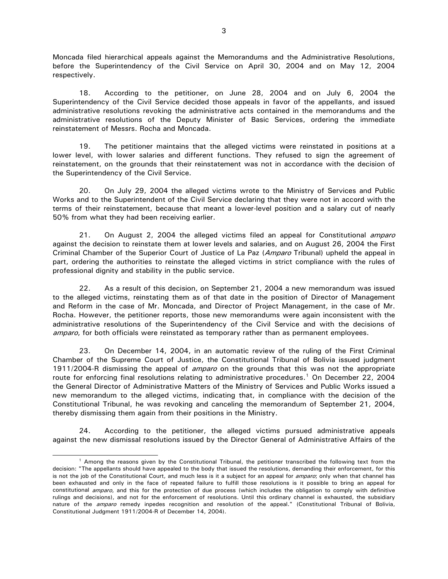Moncada filed hierarchical appeals against the Memorandums and the Administrative Resolutions, before the Superintendency of the Civil Service on April 30, 2004 and on May 12, 2004 respectively.

18. According to the petitioner, on June 28, 2004 and on July 6, 2004 the Superintendency of the Civil Service decided those appeals in favor of the appellants, and issued administrative resolutions revoking the administrative acts contained in the memorandums and the administrative resolutions of the Deputy Minister of Basic Services, ordering the immediate reinstatement of Messrs. Rocha and Moncada.

19. The petitioner maintains that the alleged victims were reinstated in positions at a lower level, with lower salaries and different functions. They refused to sign the agreement of reinstatement, on the grounds that their reinstatement was not in accordance with the decision of the Superintendency of the Civil Service.

20. On July 29, 2004 the alleged victims wrote to the Ministry of Services and Public Works and to the Superintendent of the Civil Service declaring that they were not in accord with the terms of their reinstatement, because that meant a lower-level position and a salary cut of nearly 50% from what they had been receiving earlier.

21. On August 2, 2004 the alleged victims filed an appeal for Constitutional *amparo* against the decision to reinstate them at lower levels and salaries, and on August 26, 2004 the First Criminal Chamber of the Superior Court of Justice of La Paz (Amparo Tribunal) upheld the appeal in part, ordering the authorities to reinstate the alleged victims in strict compliance with the rules of professional dignity and stability in the public service.

22. As a result of this decision, on September 21, 2004 a new memorandum was issued to the alleged victims, reinstating them as of that date in the position of Director of Management and Reform in the case of Mr. Moncada, and Director of Project Management, in the case of Mr. Rocha. However, the petitioner reports, those new memorandums were again inconsistent with the administrative resolutions of the Superintendency of the Civil Service and with the decisions of amparo, for both officials were reinstated as temporary rather than as permanent employees.

23. On December 14, 2004, in an automatic review of the ruling of the First Criminal Chamber of the Supreme Court of Justice, the Constitutional Tribunal of Bolivia issued judgment 1911/2004-R dismissing the appeal of *amparo* on the grounds that this was not the appropriate route for enforcing final resolutions relating to administrative procedures.<sup>[1](#page-2-0)</sup> On December 22, 2004 the General Director of Administrative Matters of the Ministry of Services and Public Works issued a new memorandum to the alleged victims, indicating that, in compliance with the decision of the Constitutional Tribunal, he was revoking and canceling the memorandum of September 21, 2004, thereby dismissing them again from their positions in the Ministry.

24. According to the petitioner, the alleged victims pursued administrative appeals against the new dismissal resolutions issued by the Director General of Administrative Affairs of the

<span id="page-2-0"></span><sup>&</sup>lt;sup>1</sup> Among the reasons given by the Constitutional Tribunal, the petitioner transcribed the following text from the decision: "The appellants should have appealed to the body that issued the resolutions, demanding their enforcement, for this is not the job of the Constitutional Court, and much less is it a subject for an appeal for *amparo*; only when that channel has been exhausted and only in the face of repeated failure to fulfill those resolutions is it possible to bring an appeal for constitutional *amparo*, and this for the protection of due process (which includes the obligation to comply with definitive rulings and decisions), and not for the enforcement of resolutions. Until this ordinary channel is exhausted, the subsidiary nature of the *amparo* remedy inpedes recognition and resolution of the appeal." (Constitutional Tribunal of Bolivia, Constitutional Judgment 1911/2004-R of December 14, 2004).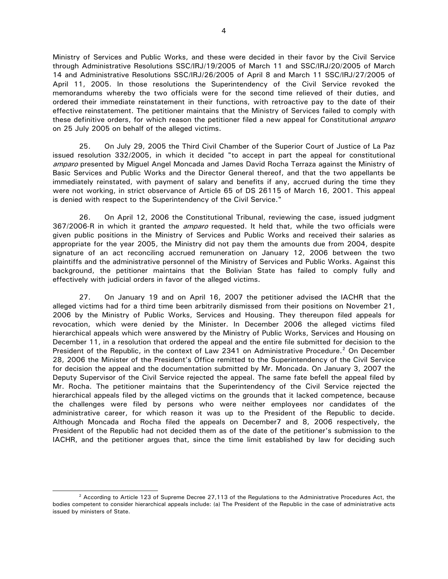Ministry of Services and Public Works, and these were decided in their favor by the Civil Service through Administrative Resolutions SSC/IRJ/19/2005 of March 11 and SSC/IRJ/20/2005 of March 14 and Administrative Resolutions SSC/IRJ/26/2005 of April 8 and March 11 SSC/IRJ/27/2005 of April 11, 2005. In those resolutions the Superintendency of the Civil Service revoked the memorandums whereby the two officials were for the second time relieved of their duties, and ordered their immediate reinstatement in their functions, with retroactive pay to the date of their effective reinstatement. The petitioner maintains that the Ministry of Services failed to comply with these definitive orders, for which reason the petitioner filed a new appeal for Constitutional *amparo* on 25 July 2005 on behalf of the alleged victims.

25. On July 29, 2005 the Third Civil Chamber of the Superior Court of Justice of La Paz issued resolution 332/2005, in which it decided "to accept in part the appeal for constitutional amparo presented by Miguel Angel Moncada and James David Rocha Terraza against the Ministry of Basic Services and Public Works and the Director General thereof, and that the two appellants be immediately reinstated, with payment of salary and benefits if any, accrued during the time they were not working, in strict observance of Article 65 of DS 26115 of March 16, 2001. This appeal is denied with respect to the Superintendency of the Civil Service."

26. On April 12, 2006 the Constitutional Tribunal, reviewing the case, issued judgment 367/2006-R in which it granted the *amparo* requested. It held that, while the two officials were given public positions in the Ministry of Services and Public Works and received their salaries as appropriate for the year 2005, the Ministry did not pay them the amounts due from 2004, despite signature of an act reconciling accrued remuneration on January 12, 2006 between the two plaintiffs and the administrative personnel of the Ministry of Services and Public Works. Against this background, the petitioner maintains that the Bolivian State has failed to comply fully and effectively with judicial orders in favor of the alleged victims.

27. On January 19 and on April 16, 2007 the petitioner advised the IACHR that the alleged victims had for a third time been arbitrarily dismissed from their positions on November 21, 2006 by the Ministry of Public Works, Services and Housing. They thereupon filed appeals for revocation, which were denied by the Minister. In December 2006 the alleged victims filed hierarchical appeals which were answered by the Ministry of Public Works, Services and Housing on December 11, in a resolution that ordered the appeal and the entire file submitted for decision to the President of the Republic, in the context of Law [2](#page-3-0)341 on Administrative Procedure.<sup>2</sup> On December 28, 2006 the Minister of the President's Office remitted to the Superintendency of the Civil Service for decision the appeal and the documentation submitted by Mr. Moncada. On January 3, 2007 the Deputy Supervisor of the Civil Service rejected the appeal. The same fate befell the appeal filed by Mr. Rocha. The petitioner maintains that the Superintendency of the Civil Service rejected the hierarchical appeals filed by the alleged victims on the grounds that it lacked competence, because the challenges were filed by persons who were neither employees nor candidates of the administrative career, for which reason it was up to the President of the Republic to decide. Although Moncada and Rocha filed the appeals on December7 and 8, 2006 respectively, the President of the Republic had not decided them as of the date of the petitioner's submission to the IACHR, and the petitioner argues that, since the time limit established by law for deciding such

<span id="page-3-0"></span><sup>&</sup>lt;sup>2</sup> According to Article 123 of Supreme Decree 27,113 of the Regulations to the Administrative Procedures Act, the bodies competent to consider hierarchical appeals include: (a) The President of the Republic in the case of administrative acts issued by ministers of State.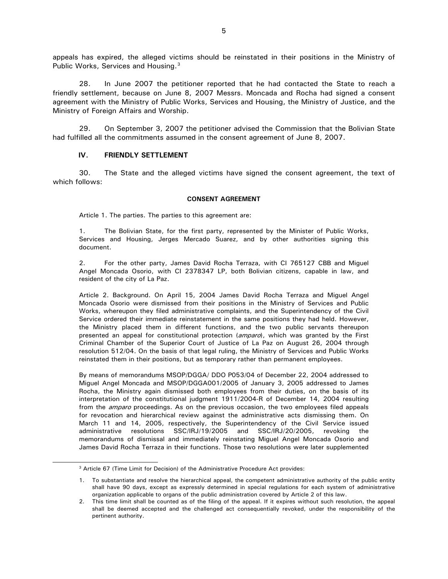appeals has expired, the alleged victims should be reinstated in their positions in the Ministry of Public Works, Services and Housing.<sup>[3](#page-4-0)</sup>

28. In June 2007 the petitioner reported that he had contacted the State to reach a friendly settlement, because on June 8, 2007 Messrs. Moncada and Rocha had signed a consent agreement with the Ministry of Public Works, Services and Housing, the Ministry of Justice, and the Ministry of Foreign Affairs and Worship.

29. On September 3, 2007 the petitioner advised the Commission that the Bolivian State had fulfilled all the commitments assumed in the consent agreement of June 8, 2007.

### **IV. FRIENDLY SETTLEMENT**

30. The State and the alleged victims have signed the consent agreement, the text of which follows:

#### **CONSENT AGREEMENT**

Article 1. The parties. The parties to this agreement are:

The Bolivian State, for the first party, represented by the Minister of Public Works, Services and Housing, Jerges Mercado Suarez, and by other authorities signing this document.

2. For the other party, James David Rocha Terraza, with CI 765127 CBB and Miguel Angel Moncada Osorio, with CI 2378347 LP, both Bolivian citizens, capable in law, and resident of the city of La Paz.

Article 2. Background. On April 15, 2004 James David Rocha Terraza and Miguel Angel Moncada Osorio were dismissed from their positions in the Ministry of Services and Public Works, whereupon they filed administrative complaints, and the Superintendency of the Civil Service ordered their immediate reinstatement in the same positions they had held. However, the Ministry placed them in different functions, and the two public servants thereupon presented an appeal for constitutional protection (*amparo*), which was granted by the First Criminal Chamber of the Superior Court of Justice of La Paz on August 26, 2004 through resolution 512/04. On the basis of that legal ruling, the Ministry of Services and Public Works reinstated them in their positions, but as temporary rather than permanent employees.

By means of memorandums MSOP/DGGA/ DDO P053/04 of December 22, 2004 addressed to Miguel Angel Moncada and MSOP/DGGA001/2005 of January 3, 2005 addressed to James Rocha, the Ministry again dismissed both employees from their duties, on the basis of its interpretation of the constitutional judgment 1911/2004-R of December 14, 2004 resulting from the *amparo* proceedings. As on the previous occasion, the two employees filed appeals for revocation and hierarchical review against the administrative acts dismissing them. On March 11 and 14, 2005, respectively, the Superintendency of the Civil Service issued administrative resolutions SSC/IRJ/19/2005 and SSC/IRJ/20/2005, revoking the memorandums of dismissal and immediately reinstating Miguel Angel Moncada Osorio and James David Rocha Terraza in their functions. Those two resolutions were later supplemented

<span id="page-4-0"></span> <sup>3</sup> Article 67 (Time Limit for Decision) of the Administrative Procedure Act provides:

<sup>1.</sup> To substantiate and resolve the hierarchical appeal, the competent administrative authority of the public entity shall have 90 days, except as expressly determined in special regulations for each system of administrative organization applicable to organs of the public administration covered by Article 2 of this law.

<sup>2.</sup> This time limit shall be counted as of the filing of the appeal. If it expires without such resolution, the appeal shall be deemed accepted and the challenged act consequentially revoked, under the responsibility of the pertinent authority.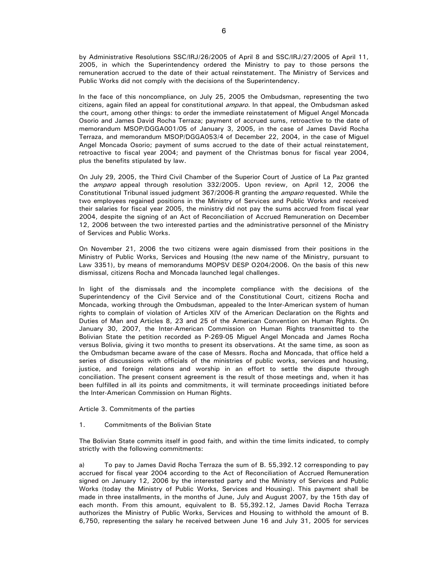by Administrative Resolutions SSC/IRJ/26/2005 of April 8 and SSC/IRJ/27/2005 of April 11, 2005, in which the Superintendency ordered the Ministry to pay to those persons the remuneration accrued to the date of their actual reinstatement. The Ministry of Services and Public Works did not comply with the decisions of the Superintendency.

In the face of this noncompliance, on July 25, 2005 the Ombudsman, representing the two citizens, again filed an appeal for constitutional *amparo*. In that appeal, the Ombudsman asked the court, among other things: to order the immediate reinstatement of Miguel Angel Moncada Osorio and James David Rocha Terraza; payment of accrued sums, retroactive to the date of memorandum MSOP/DGGA001/05 of January 3, 2005, in the case of James David Rocha Terraza, and memorandum MSOP/DGGA053/4 of December 22, 2004, in the case of Miguel Angel Moncada Osorio; payment of sums accrued to the date of their actual reinstatement, retroactive to fiscal year 2004; and payment of the Christmas bonus for fiscal year 2004, plus the benefits stipulated by law.

On July 29, 2005, the Third Civil Chamber of the Superior Court of Justice of La Paz granted the *amparo* appeal through resolution 332/2005. Upon review, on April 12, 2006 the Constitutional Tribunal issued judgment 367/2006-R granting the amparo requested. While the two employees regained positions in the Ministry of Services and Public Works and received their salaries for fiscal year 2005, the ministry did not pay the sums accrued from fiscal year 2004, despite the signing of an Act of Reconciliation of Accrued Remuneration on December 12, 2006 between the two interested parties and the administrative personnel of the Ministry of Services and Public Works.

On November 21, 2006 the two citizens were again dismissed from their positions in the Ministry of Public Works, Services and Housing (the new name of the Ministry, pursuant to Law 3351), by means of memorandums MOPSV DESP O204/2006. On the basis of this new dismissal, citizens Rocha and Moncada launched legal challenges.

In light of the dismissals and the incomplete compliance with the decisions of the Superintendency of the Civil Service and of the Constitutional Court, citizens Rocha and Moncada, working through the Ombudsman, appealed to the Inter-American system of human rights to complain of violation of Articles XIV of the American Declaration on the Rights and Duties of Man and Articles 8, 23 and 25 of the American Convention on Human Rights. On January 30, 2007, the Inter-American Commission on Human Rights transmitted to the Bolivian State the petition recorded as P-269-05 Miguel Angel Moncada and James Rocha versus Bolivia, giving it two months to present its observations. At the same time, as soon as the Ombudsman became aware of the case of Messrs. Rocha and Moncada, that office held a series of discussions with officials of the ministries of public works, services and housing, justice, and foreign relations and worship in an effort to settle the dispute through conciliation. The present consent agreement is the result of those meetings and, when it has been fulfilled in all its points and commitments, it will terminate proceedings initiated before the Inter-American Commission on Human Rights.

Article 3. Commitments of the parties

1. Commitments of the Bolivian State

The Bolivian State commits itself in good faith, and within the time limits indicated, to comply strictly with the following commitments:

a) To pay to James David Rocha Terraza the sum of B. 55,392.12 corresponding to pay accrued for fiscal year 2004 according to the Act of Reconciliation of Accrued Remuneration signed on January 12, 2006 by the interested party and the Ministry of Services and Public Works (today the Ministry of Public Works, Services and Housing). This payment shall be made in three installments, in the months of June, July and August 2007, by the 15th day of each month. From this amount, equivalent to B. 55,392.12, James David Rocha Terraza authorizes the Ministry of Public Works, Services and Housing to withhold the amount of B. 6,750, representing the salary he received between June 16 and July 31, 2005 for services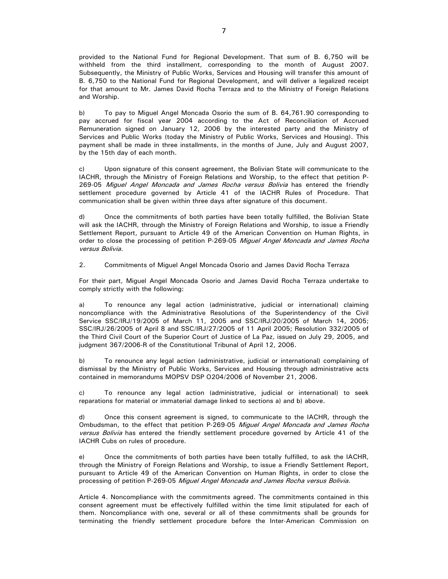provided to the National Fund for Regional Development. That sum of B. 6,750 will be withheld from the third installment, corresponding to the month of August 2007. Subsequently, the Ministry of Public Works, Services and Housing will transfer this amount of B. 6,750 to the National Fund for Regional Development, and will deliver a legalized receipt for that amount to Mr. James David Rocha Terraza and to the Ministry of Foreign Relations and Worship.

b) To pay to Miguel Angel Moncada Osorio the sum of B. 64,761.90 corresponding to pay accrued for fiscal year 2004 according to the Act of Reconciliation of Accrued Remuneration signed on January 12, 2006 by the interested party and the Ministry of Services and Public Works (today the Ministry of Public Works, Services and Housing). This payment shall be made in three installments, in the months of June, July and August 2007, by the 15th day of each month.

c) Upon signature of this consent agreement, the Bolivian State will communicate to the IACHR, through the Ministry of Foreign Relations and Worship, to the effect that petition P-269-05 Miguel Angel Moncada and James Rocha versus Bolivia has entered the friendly settlement procedure governed by Article 41 of the IACHR Rules of Procedure. That communication shall be given within three days after signature of this document.

d) Once the commitments of both parties have been totally fulfilled, the Bolivian State will ask the IACHR, through the Ministry of Foreign Relations and Worship, to issue a Friendly Settlement Report, pursuant to Article 49 of the American Convention on Human Rights, in order to close the processing of petition P-269-05 Miguel Angel Moncada and James Rocha versus Bolivia.

2. Commitments of Miguel Angel Moncada Osorio and James David Rocha Terraza

For their part, Miguel Angel Moncada Osorio and James David Rocha Terraza undertake to comply strictly with the following:

a) To renounce any legal action (administrative, judicial or international) claiming noncompliance with the Administrative Resolutions of the Superintendency of the Civil Service SSC/IRJ/19/2005 of March 11, 2005 and SSC/IRJ/20/2005 of March 14, 2005; SSC/IRJ/26/2005 of April 8 and SSC/IRJ/27/2005 of 11 April 2005; Resolution 332/2005 of the Third Civil Court of the Superior Court of Justice of La Paz, issued on July 29, 2005, and judgment 367/2006-R of the Constitutional Tribunal of April 12, 2006.

b) To renounce any legal action (administrative, judicial or international) complaining of dismissal by the Ministry of Public Works, Services and Housing through administrative acts contained in memorandums MOPSV DSP O204/2006 of November 21, 2006.

c) To renounce any legal action (administrative, judicial or international) to seek reparations for material or immaterial damage linked to sections a) and b) above.

d) Once this consent agreement is signed, to communicate to the IACHR, through the Ombudsman, to the effect that petition P-269-05 Miguel Angel Moncada and James Rocha versus Bolivia has entered the friendly settlement procedure governed by Article 41 of the IACHR Cubs on rules of procedure.

e) Once the commitments of both parties have been totally fulfilled, to ask the IACHR, through the Ministry of Foreign Relations and Worship, to issue a Friendly Settlement Report, pursuant to Article 49 of the American Convention on Human Rights, in order to close the processing of petition P-269-05 Miguel Angel Moncada and James Rocha versus Bolivia.

Article 4. Noncompliance with the commitments agreed. The commitments contained in this consent agreement must be effectively fulfilled within the time limit stipulated for each of them. Noncompliance with one, several or all of these commitments shall be grounds for terminating the friendly settlement procedure before the Inter-American Commission on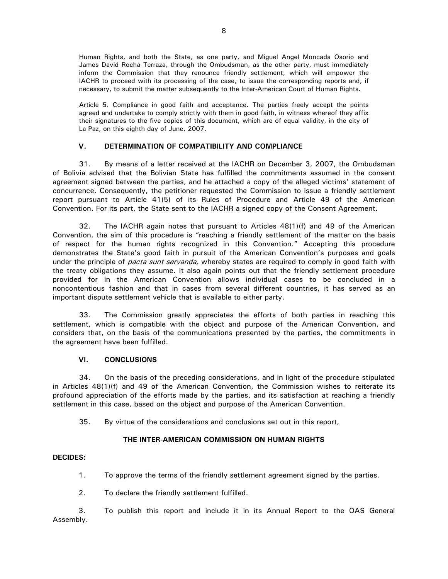Human Rights, and both the State, as one party, and Miguel Angel Moncada Osorio and James David Rocha Terraza, through the Ombudsman, as the other party, must immediately inform the Commission that they renounce friendly settlement, which will empower the IACHR to proceed with its processing of the case, to issue the corresponding reports and, if necessary, to submit the matter subsequently to the Inter-American Court of Human Rights.

Article 5. Compliance in good faith and acceptance. The parties freely accept the points agreed and undertake to comply strictly with them in good faith, in witness whereof they affix their signatures to the five copies of this document, which are of equal validity, in the city of La Paz, on this eighth day of June, 2007.

## **V. DETERMINATION OF COMPATIBILITY AND COMPLIANCE**

31. By means of a letter received at the IACHR on December 3, 2007, the Ombudsman of Bolivia advised that the Bolivian State has fulfilled the commitments assumed in the consent agreement signed between the parties, and he attached a copy of the alleged victims' statement of concurrence. Consequently, the petitioner requested the Commission to issue a friendly settlement report pursuant to Article 41(5) of its Rules of Procedure and Article 49 of the American Convention. For its part, the State sent to the IACHR a signed copy of the Consent Agreement.

32. The IACHR again notes that pursuant to Articles 48(1)(f) and 49 of the American Convention, the aim of this procedure is "reaching a friendly settlement of the matter on the basis of respect for the human rights recognized in this Convention." Accepting this procedure demonstrates the State's good faith in pursuit of the American Convention's purposes and goals under the principle of *pacta sunt servanda*, whereby states are required to comply in good faith with the treaty obligations they assume. It also again points out that the friendly settlement procedure provided for in the American Convention allows individual cases to be concluded in a noncontentious fashion and that in cases from several different countries, it has served as an important dispute settlement vehicle that is available to either party.

33. The Commission greatly appreciates the efforts of both parties in reaching this settlement, which is compatible with the object and purpose of the American Convention, and considers that, on the basis of the communications presented by the parties, the commitments in the agreement have been fulfilled.

# **VI. CONCLUSIONS**

34. On the basis of the preceding considerations, and in light of the procedure stipulated in Articles 48(1)(f) and 49 of the American Convention, the Commission wishes to reiterate its profound appreciation of the efforts made by the parties, and its satisfaction at reaching a friendly settlement in this case, based on the object and purpose of the American Convention.

35. By virtue of the considerations and conclusions set out in this report,

# **THE INTER-AMERICAN COMMISSION ON HUMAN RIGHTS**

## **DECIDES:**

- 1. To approve the terms of the friendly settlement agreement signed by the parties.
- 2. To declare the friendly settlement fulfilled.

3. To publish this report and include it in its Annual Report to the OAS General Assembly.